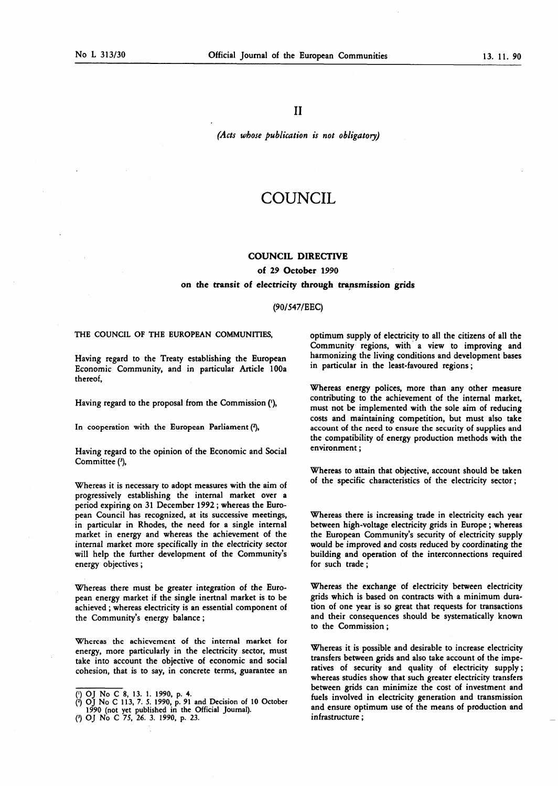II

(Acts whose publication is not obligatory)

# COUNCIL

#### COUNCIL DIRECTIVE

## of 29 October 1990 on the transit of electricity through transmission grids

### (90/547/EEC)

#### THE COUNCIL OF THE EUROPEAN COMMUNITIES,

Having regard to the Treaty establishing the European Economic Community, and in particular Article 100a thereof,

Having regard to the proposal from the Commission ('),

In cooperation with the European Parliament  $(2)$ ,

Having regard to the opinion of the Economic and Social Committee (3),

Whereas it is necessary to adopt measures with the aim of progressively establishing the internal market over a period expiring on 31 December 1992 ; whereas the European Council has recognized, at its successive meetings, in particular in Rhodes, the need for a single internal market in energy and whereas the achievement of the internal market more specifically in the electricity sector will help the further development of the Community's energy objectives ;

Whereas there must be greater integration of the European energy market if the single inertnal market is to be achieved ; whereas electricity is an essential component of the Community's energy balance ;

Whereas the achievement of the internal market for energy, more particularly in the electricity sector, must take into account the objective of economic and social cohesion, that is to say, in concrete terms, guarantee an optimum supply of electricity to all the citizens of all the Community regions, with a view to improving and harmonizing the living conditions and development bases in particular in the least-favoured regions ;

Whereas energy polices, more than any other measure contributing to the achievement of the internal market, must not be implemented with the sole aim of reducing costs and maintaining competition, but must also take account of the need to ensure the security of supplies and the compatibility of energy production methods with the environment ;

Whereas to attain that objective, account should be taken of the specific characteristics of the electricity sector ;

Whereas there is increasing trade in electricity each year between high-voltage electricity grids in Europe ; whereas the European Community's security of electricity supply would be improved and costs reduced by coordinating the building and operation of the interconnections required for such trade ;

Whereas the exchange of electricity between electricity grids which is based on contracts with a minimum duration of one year is so great that requests for transactions and their consequences should be systematically known to the Commission ;

Whereas it is possible and desirable to increase electricity transfers between grids and also take account of the imperatives of security and quality of electricity supply ; whereas studies show that such greater electricity transfers between grids can minimize the cost of investment and fuels involved in electricity generation and transmission and ensure optimum use of the means of production and infrastructure ;

<sup>(&#</sup>x27;) OJ No C 8, 13. <sup>1</sup> . 1990, p. 4.

<sup>(2)</sup> OJ No C 113, 7. 5. 1990, p. 91 and Decision of 10 October 1990 (not yet published in the Official Journal). 0 OJ No <sup>C</sup> 75, 26. 3. 1990, p. 23.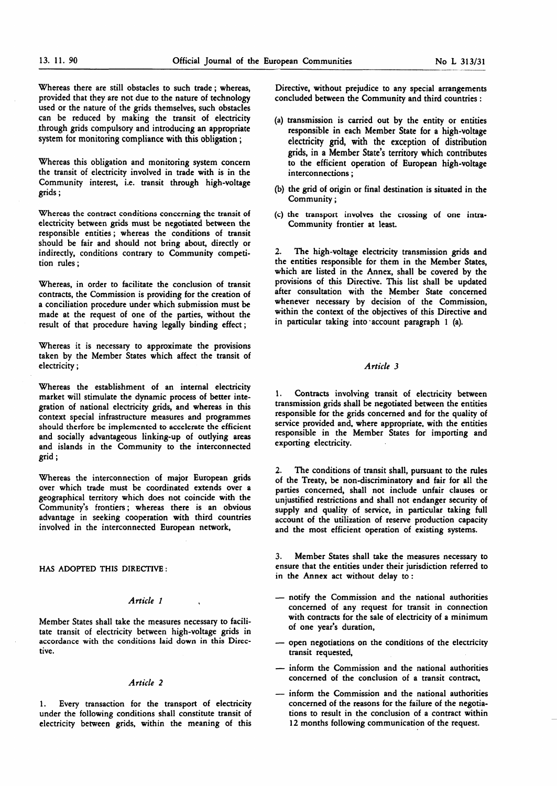Whereas there are still obstacles to such trade ; whereas, provided that they are not due to the nature of technology used or the nature of the grids themselves, such obstacles can be reduced by making the transit of electricity through grids compulsory and introducing an appropriate system for monitoring compliance with this obligation ;

Whereas this obligation and monitoring system concern the transit of electricity involved in trade with is in the Community interest, i.e. transit through high-voltage grids ;

Whereas the contract conditions concerning the transit of electricity between grids must be negotiated between the responsible entities ; whereas the conditions of transit should be fair and should not bring about, directly or indirectly, conditions contrary to Community competition rules ;

Whereas, in order to facilitate the conclusion of transit contracts, the Commission is providing for the creation of a conciliation procedure under which submission must be made at the request of one of the parties, without the result of that procedure having legally binding effect ;

Whereas it is necessary to approximate the provisions taken by the Member States which affect the transit of electricity ;

Whereas the establishment of an internal electricity market will stimulate the dynamic process of better integration of national electricity grids, and whereas in this context special infrastructure measures and programmes should therfore be implemented to accelerate the efficient and socially advantageous linking-up of outlying areas and islands in the Community to the interconnected grid ;

Whereas the interconnection of major European grids over which trade must be coordinated extends over a geographical territory which does not coincide with the Community's frontiers ; whereas there is an obvious advantage in seeking cooperation with third countries involved in the interconnected European network,

#### HAS ADOPTED THIS DIRECTIVE :

#### Article <sup>1</sup>

Member States shall take the measures necessary to facilitate transit of electricity between high-voltage grids in accordance with the conditions laid down in this Directive.

#### Article 2

1. Every transaction for the transport of electricity under the following conditions shall constitute transit of electricity between grids, within the meaning of this

Directive, without prejudice to any special arrangements concluded between the Community and third countries :

- (a) transmission is carried out by the entity or entities responsible in each Member State for a high-voltage electricity grid, with the exception of distribution grids, in a Member State's territory which contributes to the efficient operation of European high-voltage interconnections ;
- (b) the grid of origin or final destination is situated in the Community ;
- (c) the transport involves the crossing of one intra-Community frontier at least.

The high-voltage electricity transmission grids and the entities responsible for them in the Member States, which are listed in the Annex, shall be covered by the provisions of this Directive. This list shall be updated after consultation with the Member State concerned whenever necessary by decision of the Commission, within the context of the objectives of this Directive and in particular taking into account paragraph <sup>1</sup> (a).

## Article 3

1. Contracts involving transit of electricity between transmission grids shall be negotiated between the entities responsible for the grids concerned and for the quality of service provided and, where appropriate, with the entities responsible in the Member States for importing and exporting electricity.

2. The conditions of transit shall, pursuant to the rules of the Treaty, be non-discriminatory and fair for all the parties concerned, shall not include unfair clauses or unjustified restrictions and shall not endanger security of supply and quality of service, in particular taking full account of the utilization of reserve production capacity and the most efficient operation of existing systems.

3. Member States shall take the measures necessary to ensure that the entities under their jurisdiction referred to in the Annex act without delay to :

- notify the Commission and the national authorities concerned of any request for transit in connection with contracts for the sale of electricity of a minimum of one year's duration,
- open negotiations on the conditions of the electricity transit requested,
- inform the Commission and the national authorities concerned of the conclusion of a transit contract,
- inform the Commission and the national authorities concerned of the reasons for the failure of the negotiations to result in the conclusion of a contract within 12 months following communication of the request.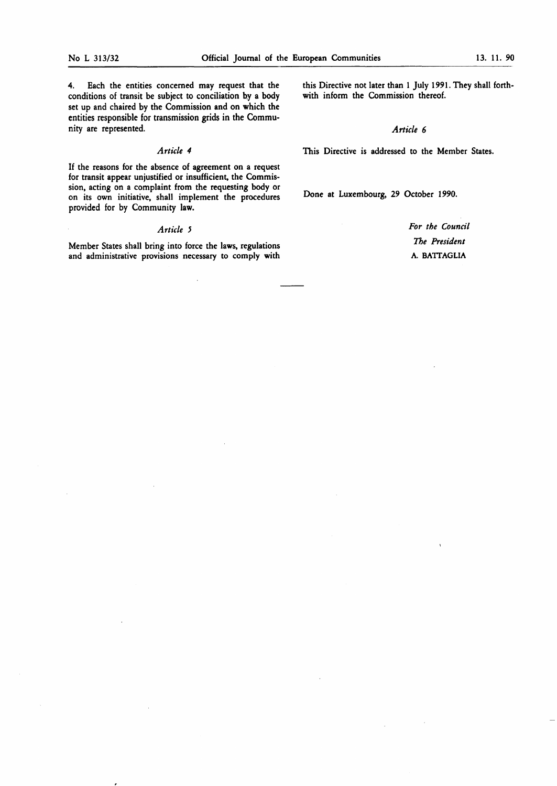4. Each the entities concerned may request that the conditions of transit be subject to conciliation by a body set up and chaired by the Commission and on which the entities responsible for transmission grids in the Community are represented.

## Article 4

If the reasons for the absence of agreement on a request for transit appear unjustified or insufficient, the Commission, acting on a complaint from the requesting body or on its own initiative, shall implement the procedures provided for by Community law.

#### Article 5

Member States shall bring into force the laws, regulations and administrative provisions necessary to comply with this Directive not later than 1 July 1991. They shall forthwith inform the Commission thereof.

## Article 6

This Directive is addressed to the Member States.

Done at Luxembourg, 29 October 1990.

For the Council The President A. BATTAGLIA